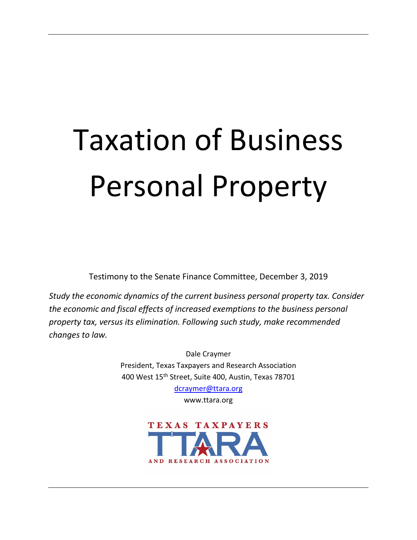# Taxation of Business Personal Property

Testimony to the Senate Finance Committee, December 3, 2019

*Study the economic dynamics of the current business personal property tax. Consider the economic and fiscal effects of increased exemptions to the business personal property tax, versus its elimination. Following such study, make recommended changes to law.*

> Dale Craymer President, Texas Taxpayers and Research Association 400 West 15th Street, Suite 400, Austin, Texas 78701

> > [dcraymer@ttara.org](mailto:dcraymer@ttara.org) www.ttara.org

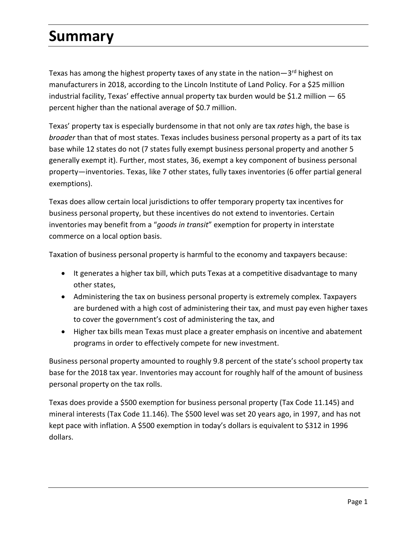#### **Summary**

Texas has among the highest property taxes of any state in the nation $-3$ <sup>rd</sup> highest on manufacturers in 2018, according to the Lincoln Institute of Land Policy. For a \$25 million industrial facility, Texas' effective annual property tax burden would be \$1.2 million  $-65$ percent higher than the national average of \$0.7 million.

Texas' property tax is especially burdensome in that not only are tax *rates* high, the base is *broader* than that of most states. Texas includes business personal property as a part of its tax base while 12 states do not (7 states fully exempt business personal property and another 5 generally exempt it). Further, most states, 36, exempt a key component of business personal property—inventories. Texas, like 7 other states, fully taxes inventories (6 offer partial general exemptions).

Texas does allow certain local jurisdictions to offer temporary property tax incentives for business personal property, but these incentives do not extend to inventories. Certain inventories may benefit from a "*goods in transit*" exemption for property in interstate commerce on a local option basis.

Taxation of business personal property is harmful to the economy and taxpayers because:

- It generates a higher tax bill, which puts Texas at a competitive disadvantage to many other states,
- Administering the tax on business personal property is extremely complex. Taxpayers are burdened with a high cost of administering their tax, and must pay even higher taxes to cover the government's cost of administering the tax, and
- Higher tax bills mean Texas must place a greater emphasis on incentive and abatement programs in order to effectively compete for new investment.

Business personal property amounted to roughly 9.8 percent of the state's school property tax base for the 2018 tax year. Inventories may account for roughly half of the amount of business personal property on the tax rolls.

Texas does provide a \$500 exemption for business personal property (Tax Code 11.145) and mineral interests (Tax Code 11.146). The \$500 level was set 20 years ago, in 1997, and has not kept pace with inflation. A \$500 exemption in today's dollars is equivalent to \$312 in 1996 dollars.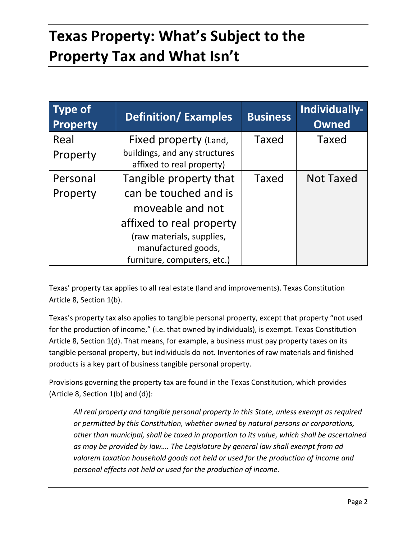## **Texas Property: What's Subject to the Property Tax and What Isn't**

| <b>Type of</b><br><b>Property</b> | <b>Definition/Examples</b>                                 | <b>Business</b> | Individually-<br><b>Owned</b> |
|-----------------------------------|------------------------------------------------------------|-----------------|-------------------------------|
| Real                              | Fixed property (Land,                                      | <b>Taxed</b>    | Taxed                         |
| Property                          | buildings, and any structures<br>affixed to real property) |                 |                               |
| Personal                          | Tangible property that                                     | Taxed           | <b>Not Taxed</b>              |
| Property                          | can be touched and is                                      |                 |                               |
|                                   | moveable and not                                           |                 |                               |
|                                   | affixed to real property                                   |                 |                               |
|                                   | (raw materials, supplies,                                  |                 |                               |
|                                   | manufactured goods,                                        |                 |                               |
|                                   | furniture, computers, etc.)                                |                 |                               |

Texas' property tax applies to all real estate (land and improvements). Texas Constitution Article 8, Section 1(b).

Texas's property tax also applies to tangible personal property, except that property "not used for the production of income," (i.e. that owned by individuals), is exempt. Texas Constitution Article 8, Section 1(d). That means, for example, a business must pay property taxes on its tangible personal property, but individuals do not. Inventories of raw materials and finished products is a key part of business tangible personal property.

Provisions governing the property tax are found in the Texas Constitution, which provides (Article 8, Section 1(b) and (d)):

*All real property and tangible personal property in this State, unless exempt as required or permitted by this Constitution, whether owned by natural persons or corporations, other than municipal, shall be taxed in proportion to its value, which shall be ascertained as may be provided by law…. The Legislature by general law shall exempt from ad valorem taxation household goods not held or used for the production of income and personal effects not held or used for the production of income.*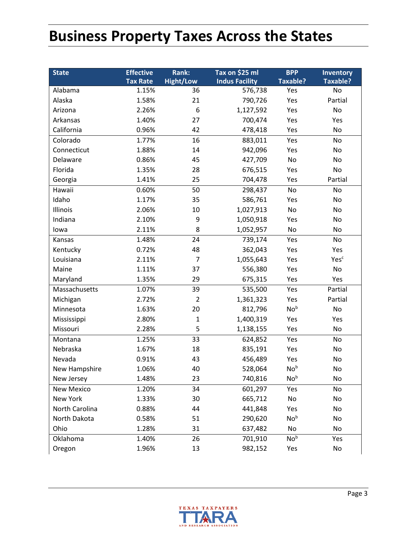### **Business Property Taxes Across the States**

| <b>State</b>   | <b>Effective</b> | Rank:            | Tax on \$25 ml        | <b>BPP</b>      | Inventory       |
|----------------|------------------|------------------|-----------------------|-----------------|-----------------|
|                | <b>Tax Rate</b>  | <b>Hight/Low</b> | <b>Indus Facility</b> | <b>Taxable?</b> | <b>Taxable?</b> |
| Alabama        | 1.15%            | 36               | 576,738               | Yes             | No              |
| Alaska         | 1.58%            | 21               | 790,726               | Yes             | Partial         |
| Arizona        | 2.26%            | 6                | 1,127,592             | Yes             | No              |
| Arkansas       | 1.40%            | 27               | 700,474               | Yes             | Yes             |
| California     | 0.96%            | 42               | 478,418               | Yes             | No              |
| Colorado       | 1.77%            | 16               | 883,011               | Yes             | No              |
| Connecticut    | 1.88%            | 14               | 942,096               | Yes             | No              |
| Delaware       | 0.86%            | 45               | 427,709               | No              | No              |
| Florida        | 1.35%            | 28               | 676,515               | Yes             | No              |
| Georgia        | 1.41%            | 25               | 704,478               | Yes             | Partial         |
| Hawaii         | 0.60%            | 50               | 298,437               | No              | No              |
| Idaho          | 1.17%            | 35               | 586,761               | Yes             | No              |
| Illinois       | 2.06%            | 10               | 1,027,913             | No              | No              |
| Indiana        | 2.10%            | 9                | 1,050,918             | Yes             | No              |
| lowa           | 2.11%            | 8                | 1,052,957             | No              | No              |
| Kansas         | 1.48%            | 24               | 739,174               | Yes             | No              |
| Kentucky       | 0.72%            | 48               | 362,043               | Yes             | Yes             |
| Louisiana      | 2.11%            | $\overline{7}$   | 1,055,643             | Yes             | Yesc            |
| Maine          | 1.11%            | 37               | 556,380               | Yes             | No              |
| Maryland       | 1.35%            | 29               | 675,315               | Yes             | Yes             |
| Massachusetts  | 1.07%            | 39               | 535,500               | Yes             | Partial         |
| Michigan       | 2.72%            | $\overline{2}$   | 1,361,323             | Yes             | Partial         |
| Minnesota      | 1.63%            | 20               | 812,796               | No <sup>b</sup> | No              |
| Mississippi    | 2.80%            | $\mathbf{1}$     | 1,400,319             | Yes             | Yes             |
| Missouri       | 2.28%            | 5                | 1,138,155             | Yes             | No              |
| Montana        | 1.25%            | 33               | 624,852               | Yes             | No              |
| Nebraska       | 1.67%            | 18               | 835,191               | Yes             | No              |
| Nevada         | 0.91%            | 43               | 456,489               | Yes             | No              |
| New Hampshire  | 1.06%            | 40               | 528,064               | No <sub>b</sub> | No              |
| New Jersey     | 1.48%            | 23               | 740,816               | No <sup>b</sup> | No              |
| New Mexico     | 1.20%            | 34               | 601,297               | Yes             | No              |
| New York       | 1.33%            | 30               | 665,712               | No              | No              |
| North Carolina | 0.88%            | 44               | 441,848               | Yes             | No              |
| North Dakota   | 0.58%            | 51               | 290,620               | No <sup>b</sup> | No              |
| Ohio           | 1.28%            | 31               | 637,482               | No              | No              |
| Oklahoma       | 1.40%            | 26               | 701,910               | No <sup>b</sup> | Yes             |
| Oregon         | 1.96%            | 13               | 982,152               | Yes             | No              |

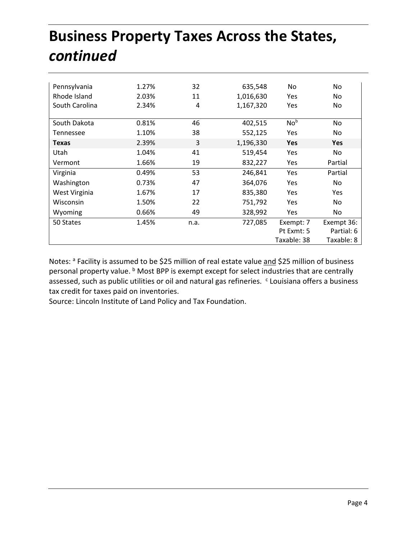## **Business Property Taxes Across the States,**  *continued*

| Pennsylvania   | 1.27% | 32   | 635,548   | No.             | No.        |
|----------------|-------|------|-----------|-----------------|------------|
| Rhode Island   | 2.03% | 11   | 1,016,630 | Yes.            | No.        |
| South Carolina | 2.34% | 4    | 1,167,320 | Yes             | No         |
|                |       |      |           |                 |            |
| South Dakota   | 0.81% | 46   | 402,515   | No <sup>b</sup> | No.        |
| Tennessee      | 1.10% | 38   | 552,125   | <b>Yes</b>      | No.        |
| <b>Texas</b>   | 2.39% | 3    | 1,196,330 | <b>Yes</b>      | <b>Yes</b> |
| Utah           | 1.04% | 41   | 519,454   | <b>Yes</b>      | No.        |
| Vermont        | 1.66% | 19   | 832,227   | <b>Yes</b>      | Partial    |
| Virginia       | 0.49% | 53   | 246,841   | Yes             | Partial    |
| Washington     | 0.73% | 47   | 364,076   | Yes             | No.        |
| West Virginia  | 1.67% | 17   | 835,380   | <b>Yes</b>      | <b>Yes</b> |
| Wisconsin      | 1.50% | 22   | 751,792   | <b>Yes</b>      | No.        |
| Wyoming        | 0.66% | 49   | 328,992   | <b>Yes</b>      | No.        |
| 50 States      | 1.45% | n.a. | 727,085   | Exempt: 7       | Exempt 36: |
|                |       |      |           | Pt Exmt: 5      | Partial: 6 |
|                |       |      |           | Taxable: 38     | Taxable: 8 |

Notes: a Facility is assumed to be \$25 million of real estate value and \$25 million of business personal property value. **b** Most BPP is exempt except for select industries that are centrally assessed, such as public utilities or oil and natural gas refineries. <sup>c</sup> Louisiana offers a business tax credit for taxes paid on inventories.

Source: Lincoln Institute of Land Policy and Tax Foundation.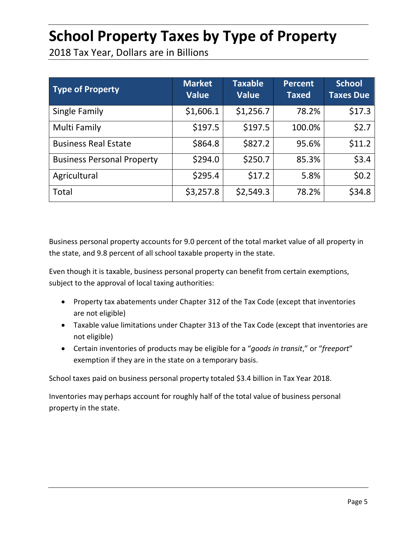#### **School Property Taxes by Type of Property**

2018 Tax Year, Dollars are in Billions

| <b>Type of Property</b>           | <b>Market</b><br><b>Value</b> | <b>Taxable</b><br><b>Value</b> | <b>Percent</b><br><b>Taxed</b> | <b>School</b><br><b>Taxes Due</b> |
|-----------------------------------|-------------------------------|--------------------------------|--------------------------------|-----------------------------------|
| Single Family                     | \$1,606.1                     | \$1,256.7                      | 78.2%                          | \$17.3                            |
| Multi Family                      | \$197.5                       | \$197.5                        | 100.0%                         | \$2.7                             |
| <b>Business Real Estate</b>       | \$864.8                       | \$827.2                        | 95.6%                          | \$11.2                            |
| <b>Business Personal Property</b> | \$294.0                       | \$250.7                        | 85.3%                          | \$3.4                             |
| Agricultural                      | \$295.4                       | \$17.2                         | 5.8%                           | \$0.2\$                           |
| Total                             | \$3,257.8                     | \$2,549.3                      | 78.2%                          | \$34.8                            |

Business personal property accounts for 9.0 percent of the total market value of all property in the state, and 9.8 percent of all school taxable property in the state.

Even though it is taxable, business personal property can benefit from certain exemptions, subject to the approval of local taxing authorities:

- Property tax abatements under Chapter 312 of the Tax Code (except that inventories are not eligible)
- Taxable value limitations under Chapter 313 of the Tax Code (except that inventories are not eligible)
- Certain inventories of products may be eligible for a "*goods in transit*," or "*freeport*" exemption if they are in the state on a temporary basis.

School taxes paid on business personal property totaled \$3.4 billion in Tax Year 2018.

Inventories may perhaps account for roughly half of the total value of business personal property in the state.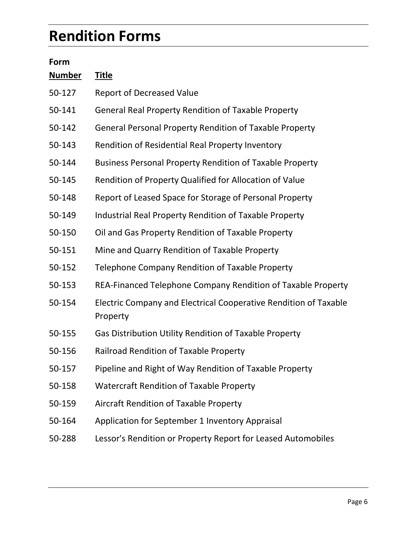#### **Rendition Forms**

| Form          |                                                                              |
|---------------|------------------------------------------------------------------------------|
| <u>Number</u> | <b>Title</b>                                                                 |
| 50-127        | <b>Report of Decreased Value</b>                                             |
| 50-141        | <b>General Real Property Rendition of Taxable Property</b>                   |
| 50-142        | <b>General Personal Property Rendition of Taxable Property</b>               |
| 50-143        | Rendition of Residential Real Property Inventory                             |
| 50-144        | <b>Business Personal Property Rendition of Taxable Property</b>              |
| 50-145        | Rendition of Property Qualified for Allocation of Value                      |
| 50-148        | Report of Leased Space for Storage of Personal Property                      |
| 50-149        | Industrial Real Property Rendition of Taxable Property                       |
| 50-150        | Oil and Gas Property Rendition of Taxable Property                           |
| 50-151        | Mine and Quarry Rendition of Taxable Property                                |
| 50-152        | Telephone Company Rendition of Taxable Property                              |
| 50-153        | REA-Financed Telephone Company Rendition of Taxable Property                 |
| 50-154        | Electric Company and Electrical Cooperative Rendition of Taxable<br>Property |
| 50-155        | Gas Distribution Utility Rendition of Taxable Property                       |
| 50-156        | <b>Railroad Rendition of Taxable Property</b>                                |
| 50-157        | Pipeline and Right of Way Rendition of Taxable Property                      |
| 50-158        | <b>Watercraft Rendition of Taxable Property</b>                              |
| 50-159        | <b>Aircraft Rendition of Taxable Property</b>                                |
| 50-164        | Application for September 1 Inventory Appraisal                              |
| 50-288        | Lessor's Rendition or Property Report for Leased Automobiles                 |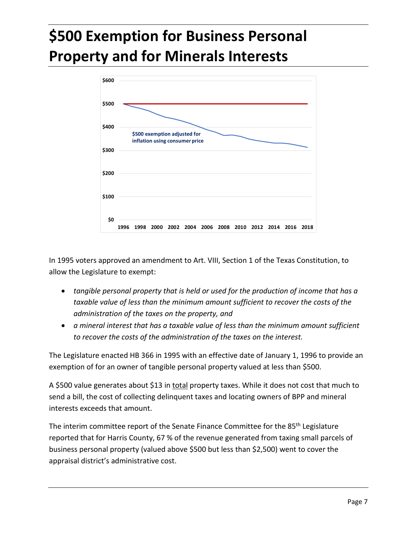## **\$500 Exemption for Business Personal Property and for Minerals Interests**



In 1995 voters approved an amendment to Art. VIII, Section 1 of the Texas Constitution, to allow the Legislature to exempt:

- *tangible personal property that is held or used for the production of income that has a taxable value of less than the minimum amount sufficient to recover the costs of the administration of the taxes on the property, and*
- *a mineral interest that has a taxable value of less than the minimum amount sufficient to recover the costs of the administration of the taxes on the interest.*

The Legislature enacted HB 366 in 1995 with an effective date of January 1, 1996 to provide an exemption of for an owner of tangible personal property valued at less than \$500.

A \$500 value generates about \$13 in total property taxes. While it does not cost that much to send a bill, the cost of collecting delinquent taxes and locating owners of BPP and mineral interests exceeds that amount.

The interim committee report of the Senate Finance Committee for the 85<sup>th</sup> Legislature reported that for Harris County, 67 % of the revenue generated from taxing small parcels of business personal property (valued above \$500 but less than \$2,500) went to cover the appraisal district's administrative cost.